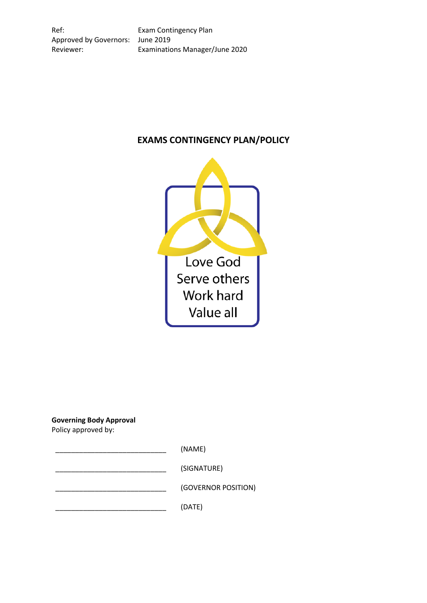Ref: Exam Contingency Plan Approved by Governors: June 2019 Reviewer: Examinations Manager/June 2020

# **EXAMS CONTINGENCY PLAN/POLICY**



**Governing Body Approval**

Policy approved by:

 $(NAME)$ 

\_\_\_\_\_\_\_\_\_\_\_\_\_\_\_\_\_\_\_\_\_\_\_\_\_\_\_\_ (SIGNATURE)

\_\_\_\_\_\_\_\_\_\_\_\_\_\_\_\_\_\_\_\_\_\_\_\_\_\_\_\_ (GOVERNOR POSITION)

\_\_\_\_\_\_\_\_\_\_\_\_\_\_\_\_\_\_\_\_\_\_\_\_\_\_\_\_ (DATE)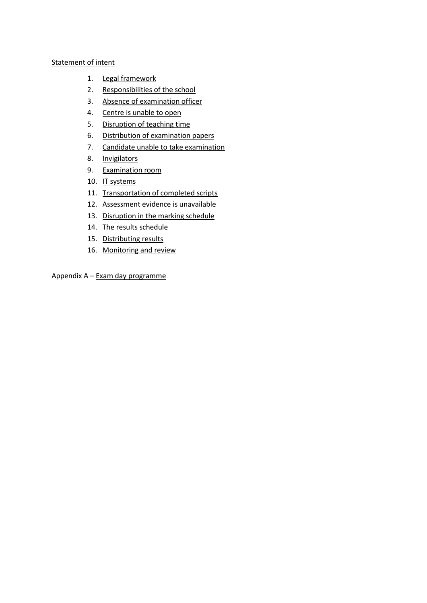## [Statement of intent](#page-2-0)

- 1. [Legal framework](#page-3-0)
- 2. [Responsibilities of the school](#page-3-1)
- 3. [Absence of examination officer](#page-3-2)
- 4. [Centre is unable to open](#page-3-3)
- 5. [Disruption of teaching time](#page-4-0)
- 6. [Distribution of examination papers](#page-4-1)
- 7. [Candidate unable to take examination](#page-5-0)
- 8. [Invigilators](#page-5-1)
- 9. [Examination room](#page-5-2)
- 10. [IT systems](#page-6-0)
- 11. [Transportation of completed scripts](#page-6-1)
- 12. [Assessment evidence is unavailable](#page-6-2)
- 13. [Disruption in the marking schedule](#page-7-0)
- 14. [The results schedule](#page-7-1)
- 15. [Distributing results](#page-7-2)
- 16. [Monitoring and review](#page-7-3)

Appendix A – [Exam day programme](#page-8-0)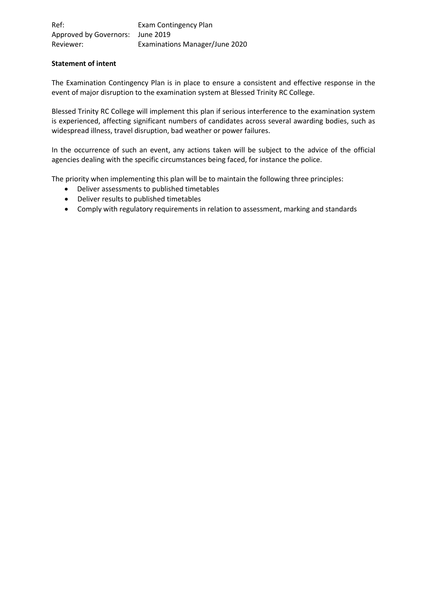| Ref:                             | Exam Contingency Plan          |
|----------------------------------|--------------------------------|
| Approved by Governors: June 2019 |                                |
| Reviewer:                        | Examinations Manager/June 2020 |

## <span id="page-2-0"></span>**Statement of intent**

The Examination Contingency Plan is in place to ensure a consistent and effective response in the event of major disruption to the examination system at Blessed Trinity RC College.

Blessed Trinity RC College will implement this plan if serious interference to the examination system is experienced, affecting significant numbers of candidates across several awarding bodies, such as widespread illness, travel disruption, bad weather or power failures.

In the occurrence of such an event, any actions taken will be subject to the advice of the official agencies dealing with the specific circumstances being faced, for instance the police.

The priority when implementing this plan will be to maintain the following three principles:

- Deliver assessments to published timetables
- Deliver results to published timetables
- Comply with regulatory requirements in relation to assessment, marking and standards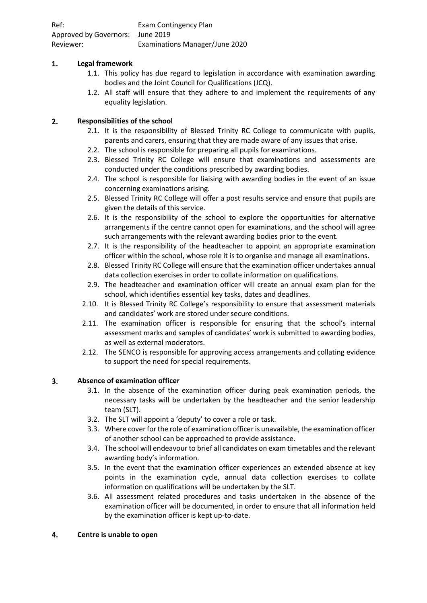| Ref:                             | Exam Contingency Plan          |
|----------------------------------|--------------------------------|
| Approved by Governors: June 2019 |                                |
| Reviewer:                        | Examinations Manager/June 2020 |

#### <span id="page-3-0"></span> $1.$ **Legal framework**

- 1.1. This policy has due regard to legislation in accordance with examination awarding bodies and the Joint Council for Qualifications (JCQ).
- 1.2. All staff will ensure that they adhere to and implement the requirements of any equality legislation.

#### <span id="page-3-1"></span> $2.$ **Responsibilities of the school**

- 2.1. It is the responsibility of Blessed Trinity RC College to communicate with pupils, parents and carers, ensuring that they are made aware of any issues that arise.
- 2.2. The school is responsible for preparing all pupils for examinations.
- 2.3. Blessed Trinity RC College will ensure that examinations and assessments are conducted under the conditions prescribed by awarding bodies.
- 2.4. The school is responsible for liaising with awarding bodies in the event of an issue concerning examinations arising.
- 2.5. Blessed Trinity RC College will offer a post results service and ensure that pupils are given the details of this service.
- 2.6. It is the responsibility of the school to explore the opportunities for alternative arrangements if the centre cannot open for examinations, and the school will agree such arrangements with the relevant awarding bodies prior to the event.
- 2.7. It is the responsibility of the headteacher to appoint an appropriate examination officer within the school, whose role it is to organise and manage all examinations.
- 2.8. Blessed Trinity RC College will ensure that the examination officer undertakes annual data collection exercises in order to collate information on qualifications.
- 2.9. The headteacher and examination officer will create an annual exam plan for the school, which identifies essential key tasks, dates and deadlines.
- 2.10. It is Blessed Trinity RC College's responsibility to ensure that assessment materials and candidates' work are stored under secure conditions.
- 2.11. The examination officer is responsible for ensuring that the school's internal assessment marks and samples of candidates' work is submitted to awarding bodies, as well as external moderators.
- 2.12. The SENCO is responsible for approving access arrangements and collating evidence to support the need for special requirements.

#### <span id="page-3-2"></span> $3<sub>1</sub>$ **Absence of examination officer**

- 3.1. In the absence of the examination officer during peak examination periods, the necessary tasks will be undertaken by the headteacher and the senior leadership team (SLT).
- 3.2. The SLT will appoint a 'deputy' to cover a role or task.
- 3.3. Where cover for the role of examination officer is unavailable, the examination officer of another school can be approached to provide assistance.
- 3.4. The school will endeavour to brief all candidates on exam timetables and the relevant awarding body's information.
- 3.5. In the event that the examination officer experiences an extended absence at key points in the examination cycle, annual data collection exercises to collate information on qualifications will be undertaken by the SLT.
- 3.6. All assessment related procedures and tasks undertaken in the absence of the examination officer will be documented, in order to ensure that all information held by the examination officer is kept up-to-date.

#### <span id="page-3-3"></span>4. **Centre is unable to open**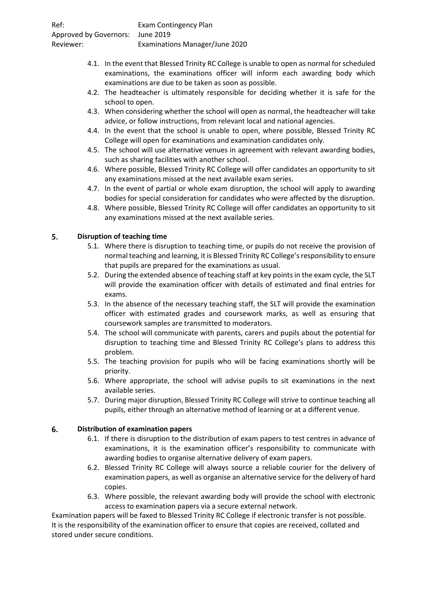| Ref:                             | Exam Contingency Plan                 |
|----------------------------------|---------------------------------------|
| Approved by Governors: June 2019 |                                       |
| Reviewer:                        | <b>Examinations Manager/June 2020</b> |

- 4.1. In the event that Blessed Trinity RC College is unable to open as normal for scheduled examinations, the examinations officer will inform each awarding body which examinations are due to be taken as soon as possible.
- 4.2. The headteacher is ultimately responsible for deciding whether it is safe for the school to open.
- 4.3. When considering whether the school will open as normal, the headteacher will take advice, or follow instructions, from relevant local and national agencies.
- 4.4. In the event that the school is unable to open, where possible, Blessed Trinity RC College will open for examinations and examination candidates only.
- 4.5. The school will use alternative venues in agreement with relevant awarding bodies, such as sharing facilities with another school.
- 4.6. Where possible, Blessed Trinity RC College will offer candidates an opportunity to sit any examinations missed at the next available exam series.
- 4.7. In the event of partial or whole exam disruption, the school will apply to awarding bodies for special consideration for candidates who were affected by the disruption.
- 4.8. Where possible, Blessed Trinity RC College will offer candidates an opportunity to sit any examinations missed at the next available series.

#### <span id="page-4-0"></span>5. **Disruption of teaching time**

- 5.1. Where there is disruption to teaching time, or pupils do not receive the provision of normal teaching and learning, it is Blessed Trinity RC College's responsibility to ensure that pupils are prepared for the examinations as usual.
- 5.2. During the extended absence of teaching staff at key points in the exam cycle, the SLT will provide the examination officer with details of estimated and final entries for exams.
- 5.3. In the absence of the necessary teaching staff, the SLT will provide the examination officer with estimated grades and coursework marks, as well as ensuring that coursework samples are transmitted to moderators.
- 5.4. The school will communicate with parents, carers and pupils about the potential for disruption to teaching time and Blessed Trinity RC College's plans to address this problem.
- 5.5. The teaching provision for pupils who will be facing examinations shortly will be priority.
- 5.6. Where appropriate, the school will advise pupils to sit examinations in the next available series.
- 5.7. During major disruption, Blessed Trinity RC College will strive to continue teaching all pupils, either through an alternative method of learning or at a different venue.

#### <span id="page-4-1"></span>6. **Distribution of examination papers**

- 6.1. If there is disruption to the distribution of exam papers to test centres in advance of examinations, it is the examination officer's responsibility to communicate with awarding bodies to organise alternative delivery of exam papers.
- 6.2. Blessed Trinity RC College will always source a reliable courier for the delivery of examination papers, as well as organise an alternative service for the delivery of hard copies.
- 6.3. Where possible, the relevant awarding body will provide the school with electronic access to examination papers via a secure external network.

Examination papers will be faxed to Blessed Trinity RC College if electronic transfer is not possible. It is the responsibility of the examination officer to ensure that copies are received, collated and stored under secure conditions.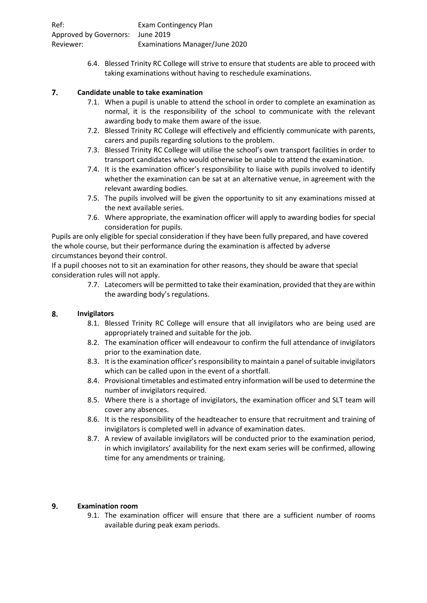| Ref:                             | Exam Contingency Plan          |
|----------------------------------|--------------------------------|
| Approved by Governors: June 2019 |                                |
| Reviewer:                        | Examinations Manager/June 2020 |

6.4. Blessed Trinity RC College will strive to ensure that students are able to proceed with taking examinations without having to reschedule examinations.

#### <span id="page-5-0"></span> $\overline{7}$ . **Candidate unable to take examination**

- 7.1. When a pupil is unable to attend the school in order to complete an examination as normal, it is the responsibility of the school to communicate with the relevant awarding body to make them aware of the issue.
- 7.2. Blessed Trinity RC College will effectively and efficiently communicate with parents, carers and pupils regarding solutions to the problem.
- 7.3. Blessed Trinity RC College will utilise the school's own transport facilities in order to transport candidates who would otherwise be unable to attend the examination.
- 7.4. It is the examination officer's responsibility to liaise with pupils involved to identify whether the examination can be sat at an alternative venue, in agreement with the relevant awarding bodies.
- 7.5. The pupils involved will be given the opportunity to sit any examinations missed at the next available series.
- 7.6. Where appropriate, the examination officer will apply to awarding bodies for special consideration for pupils.

Pupils are only eligible for special consideration if they have been fully prepared, and have covered the whole course, but their performance during the examination is affected by adverse circumstances beyond their control.

If a pupil chooses not to sit an examination for other reasons, they should be aware that special consideration rules will not apply.

> 7.7. Latecomers will be permitted to take their examination, provided that they are within the awarding body's regulations.

#### <span id="page-5-1"></span>8. **Invigilators**

- 8.1. Blessed Trinity RC College will ensure that all invigilators who are being used are appropriately trained and suitable for the job.
- 8.2. The examination officer will endeavour to confirm the full attendance of invigilators prior to the examination date.
- 8.3. It is the examination officer's responsibility to maintain a panel of suitable invigilators which can be called upon in the event of a shortfall.
- 8.4. Provisional timetables and estimated entry information will be used to determine the number of invigilators required.
- 8.5. Where there is a shortage of invigilators, the examination officer and SLT team will cover any absences.
- 8.6. It is the responsibility of the headteacher to ensure that recruitment and training of invigilators is completed well in advance of examination dates.
- 8.7. A review of available invigilators will be conducted prior to the examination period, in which invigilators' availability for the next exam series will be confirmed, allowing time for any amendments or training.

#### <span id="page-5-2"></span> $9.$ **Examination room**

9.1. The examination officer will ensure that there are a sufficient number of rooms available during peak exam periods.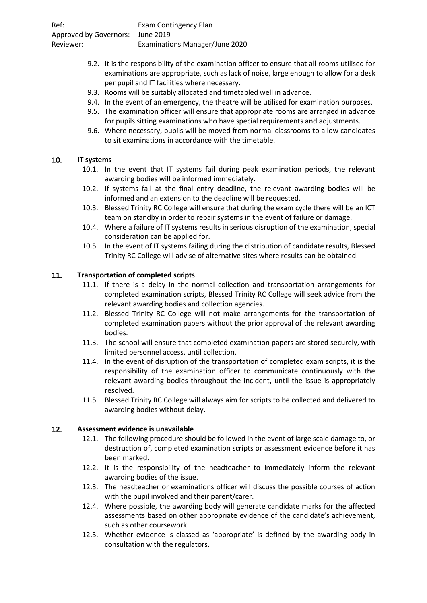| Ref:                             | Exam Contingency Plan          |
|----------------------------------|--------------------------------|
| Approved by Governors: June 2019 |                                |
| Reviewer:                        | Examinations Manager/June 2020 |

- 9.2. It is the responsibility of the examination officer to ensure that all rooms utilised for examinations are appropriate, such as lack of noise, large enough to allow for a desk per pupil and IT facilities where necessary.
- 9.3. Rooms will be suitably allocated and timetabled well in advance.
- 9.4. In the event of an emergency, the theatre will be utilised for examination purposes.
- 9.5. The examination officer will ensure that appropriate rooms are arranged in advance for pupils sitting examinations who have special requirements and adjustments.
- 9.6. Where necessary, pupils will be moved from normal classrooms to allow candidates to sit examinations in accordance with the timetable.

#### <span id="page-6-0"></span>10. **IT systems**

- 10.1. In the event that IT systems fail during peak examination periods, the relevant awarding bodies will be informed immediately.
- 10.2. If systems fail at the final entry deadline, the relevant awarding bodies will be informed and an extension to the deadline will be requested.
- 10.3. Blessed Trinity RC College will ensure that during the exam cycle there will be an ICT team on standby in order to repair systems in the event of failure or damage.
- 10.4. Where a failure of IT systems results in serious disruption of the examination, special consideration can be applied for.
- 10.5. In the event of IT systems failing during the distribution of candidate results, Blessed Trinity RC College will advise of alternative sites where results can be obtained.

#### <span id="page-6-1"></span>11. **Transportation of completed scripts**

- 11.1. If there is a delay in the normal collection and transportation arrangements for completed examination scripts, Blessed Trinity RC College will seek advice from the relevant awarding bodies and collection agencies.
- 11.2. Blessed Trinity RC College will not make arrangements for the transportation of completed examination papers without the prior approval of the relevant awarding bodies.
- 11.3. The school will ensure that completed examination papers are stored securely, with limited personnel access, until collection.
- 11.4. In the event of disruption of the transportation of completed exam scripts, it is the responsibility of the examination officer to communicate continuously with the relevant awarding bodies throughout the incident, until the issue is appropriately resolved.
- 11.5. Blessed Trinity RC College will always aim for scripts to be collected and delivered to awarding bodies without delay.

#### <span id="page-6-2"></span> $12.$ **Assessment evidence is unavailable**

- 12.1. The following procedure should be followed in the event of large scale damage to, or destruction of, completed examination scripts or assessment evidence before it has been marked.
- 12.2. It is the responsibility of the headteacher to immediately inform the relevant awarding bodies of the issue.
- 12.3. The headteacher or examinations officer will discuss the possible courses of action with the pupil involved and their parent/carer.
- 12.4. Where possible, the awarding body will generate candidate marks for the affected assessments based on other appropriate evidence of the candidate's achievement, such as other coursework.
- 12.5. Whether evidence is classed as 'appropriate' is defined by the awarding body in consultation with the regulators.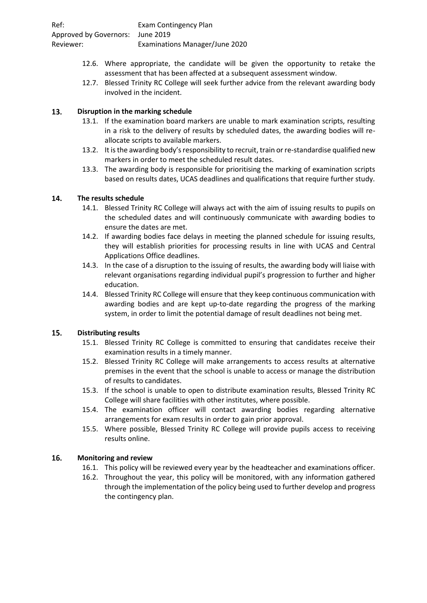| Ref:                             | Exam Contingency Plan          |
|----------------------------------|--------------------------------|
| Approved by Governors: June 2019 |                                |
| Reviewer:                        | Examinations Manager/June 2020 |

- 12.6. Where appropriate, the candidate will be given the opportunity to retake the assessment that has been affected at a subsequent assessment window.
- 12.7. Blessed Trinity RC College will seek further advice from the relevant awarding body involved in the incident.

#### <span id="page-7-0"></span>13. **Disruption in the marking schedule**

- 13.1. If the examination board markers are unable to mark examination scripts, resulting in a risk to the delivery of results by scheduled dates, the awarding bodies will reallocate scripts to available markers.
- 13.2. It is the awarding body's responsibility to recruit, train or re-standardise qualified new markers in order to meet the scheduled result dates.
- 13.3. The awarding body is responsible for prioritising the marking of examination scripts based on results dates, UCAS deadlines and qualifications that require further study.

#### <span id="page-7-1"></span>14. **The results schedule**

- 14.1. Blessed Trinity RC College will always act with the aim of issuing results to pupils on the scheduled dates and will continuously communicate with awarding bodies to ensure the dates are met.
- 14.2. If awarding bodies face delays in meeting the planned schedule for issuing results, they will establish priorities for processing results in line with UCAS and Central Applications Office deadlines.
- 14.3. In the case of a disruption to the issuing of results, the awarding body will liaise with relevant organisations regarding individual pupil's progression to further and higher education.
- 14.4. Blessed Trinity RC College will ensure that they keep continuous communication with awarding bodies and are kept up-to-date regarding the progress of the marking system, in order to limit the potential damage of result deadlines not being met.

#### <span id="page-7-2"></span> $15.$ **Distributing results**

- 15.1. Blessed Trinity RC College is committed to ensuring that candidates receive their examination results in a timely manner.
- 15.2. Blessed Trinity RC College will make arrangements to access results at alternative premises in the event that the school is unable to access or manage the distribution of results to candidates.
- 15.3. If the school is unable to open to distribute examination results, Blessed Trinity RC College will share facilities with other institutes, where possible.
- 15.4. The examination officer will contact awarding bodies regarding alternative arrangements for exam results in order to gain prior approval.
- 15.5. Where possible, Blessed Trinity RC College will provide pupils access to receiving results online.

#### <span id="page-7-3"></span>16. **Monitoring and review**

- 16.1. This policy will be reviewed every year by the headteacher and examinations officer.
- 16.2. Throughout the year, this policy will be monitored, with any information gathered through the implementation of the policy being used to further develop and progress the contingency plan.